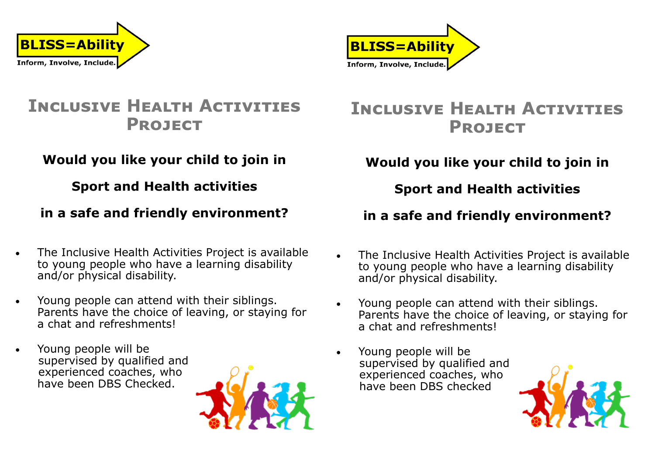



# **Inclusive Health Activities Project**

### **Would you like your child to join in**

### **Sport and Health activities**

### **in a safe and friendly environment?**

- The Inclusive Health Activities Project is available to young people who have a learning disability and/or physical disability.
- Young people can attend with their siblings. Parents have the choice of leaving, or staying for a chat and refreshments!
- Young people will be supervised by qualified and experienced coaches, who have been DBS Checked.



## **Inclusive Health Activities Project**

### **Would you like your child to join in**

### **Sport and Health activities**

### **in a safe and friendly environment?**

- The Inclusive Health Activities Project is available to young people who have a learning disability and/or physical disability.
- Young people can attend with their siblings. Parents have the choice of leaving, or staying for a chat and refreshments!
- Young people will be supervised by qualified and experienced coaches, who have been DBS checked